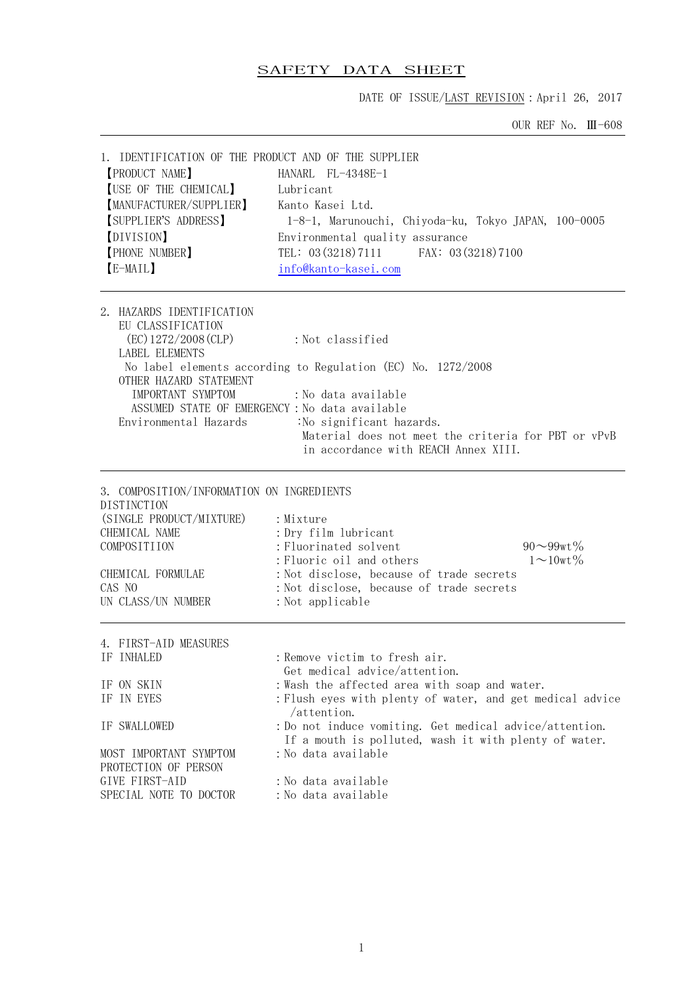## SAFETY DATA SHEET

DATE OF ISSUE/LAST REVISION: April 26, 2017

OUR REF No. Ⅲ-608

| 1. IDENTIFICATION OF THE PRODUCT AND OF THE SUPPLIER                                                                                       |                                                                                                                                                                         |  |  |
|--------------------------------------------------------------------------------------------------------------------------------------------|-------------------------------------------------------------------------------------------------------------------------------------------------------------------------|--|--|
| <b>[PRODUCT NAME]</b>                                                                                                                      | $HANARI$ , $FI$ $-4348E-1$                                                                                                                                              |  |  |
| [USE OF THE CHEMICAL]                                                                                                                      | Lubricant                                                                                                                                                               |  |  |
| [MANUFACTURER/SUPPLIER]                                                                                                                    | Kanto Kasei Ltd.                                                                                                                                                        |  |  |
| [SUPPLIER'S ADDRESS]                                                                                                                       | 1-8-1, Marunouchi, Chiyoda-ku, Tokyo JAPAN, 100-0005                                                                                                                    |  |  |
| [DIVISION]                                                                                                                                 | Environmental quality assurance                                                                                                                                         |  |  |
| [PHONE NUMBER]                                                                                                                             | TEL: 03 (3218) 7111 FAX: 03 (3218) 7100                                                                                                                                 |  |  |
| [E-MAIL]                                                                                                                                   | info@kanto-kasei.com                                                                                                                                                    |  |  |
| 2. HAZARDS IDENTIFICATION<br>EU CLASSIFICATION<br>(EC) 1272/2008 (CLP)<br>LABEL ELEMENTS                                                   | : Not classified                                                                                                                                                        |  |  |
|                                                                                                                                            | No label elements according to Regulation (EC) No. 1272/2008                                                                                                            |  |  |
| OTHER HAZARD STATEMENT                                                                                                                     |                                                                                                                                                                         |  |  |
| IMPORTANT SYMPTOM                                                                                                                          | :No data available                                                                                                                                                      |  |  |
|                                                                                                                                            | ASSUMED STATE OF EMERGENCY: No data available                                                                                                                           |  |  |
| Environmental Hazards                                                                                                                      | :No significant hazards.                                                                                                                                                |  |  |
|                                                                                                                                            | Material does not meet the criteria for PBT or vPvB<br>in accordance with REACH Annex XIII.                                                                             |  |  |
|                                                                                                                                            |                                                                                                                                                                         |  |  |
| 3. COMPOSITION/INFORMATION ON INGREDIENTS<br>DISTINCTION<br>(SINGLE PRODUCT/MIXTURE)<br>CHEMICAL NAME<br>COMPOSITIION<br>CHEMICAL FORMULAE | : Mixture<br>: Dry film lubricant<br>: Fluorinated solvent<br>$90 - 99$ wt%<br>: Fluoric oil and others<br>$1 \sim 10$ wt %<br>: Not disclose, because of trade secrets |  |  |
| CAS NO                                                                                                                                     | : Not disclose, because of trade secrets                                                                                                                                |  |  |
| UN CLASS/UN NUMBER                                                                                                                         | : Not applicable                                                                                                                                                        |  |  |
| 4. FIRST-AID MEASURES                                                                                                                      |                                                                                                                                                                         |  |  |
| IF INHALED                                                                                                                                 | : Remove victim to fresh air.<br>Get medical advice/attention                                                                                                           |  |  |
| IF ON SKIN                                                                                                                                 | : Wash the affected area with soap and water.                                                                                                                           |  |  |
| IF IN EYES                                                                                                                                 | : Flush eyes with plenty of water, and get medical advice                                                                                                               |  |  |
| IF SWALLOWED                                                                                                                               | /attention.<br>: Do not induce vomiting. Get medical advice/attention.                                                                                                  |  |  |
| MOST IMPORTANT SYMPTOM<br>PROTECTION OF PERSON                                                                                             | If a mouth is polluted, wash it with plenty of water.<br>: No data available                                                                                            |  |  |
| GIVE FIRST-AID                                                                                                                             | :No data available                                                                                                                                                      |  |  |
| SPECIAL NOTE TO DOCTOR                                                                                                                     | : No data available                                                                                                                                                     |  |  |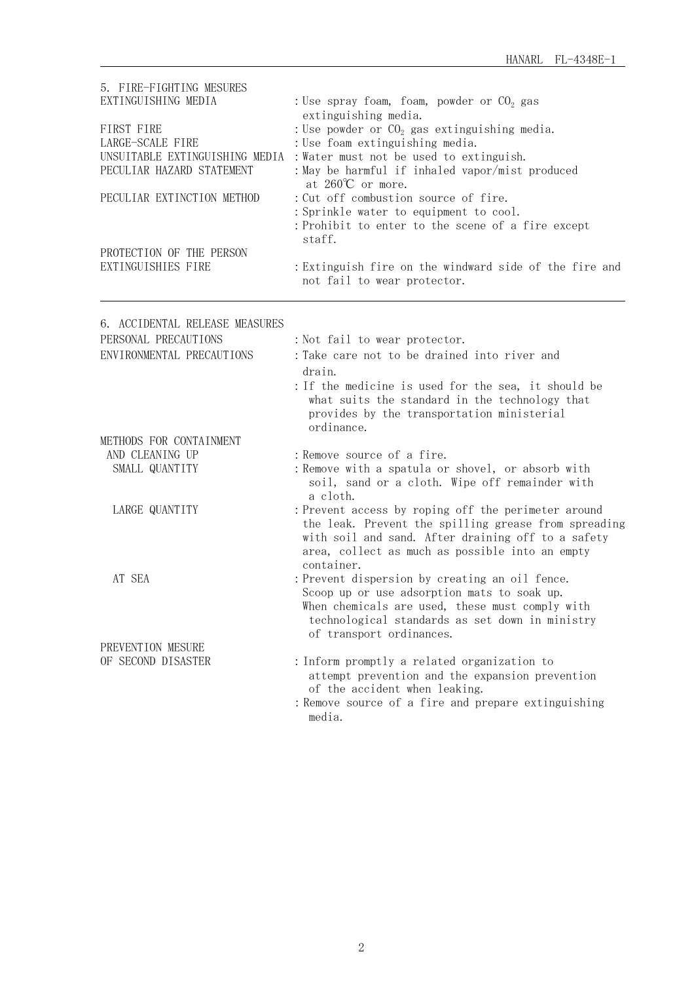| 5. FIRE-FIGHTING MESURES<br>EXTINGUISHING MEDIA<br>FIRST FIRE<br>LARGE-SCALE FIRE<br>UNSUITABLE EXTINGUISHING MEDIA<br>PECULIAR HAZARD STATEMENT<br>PECULIAR EXTINCTION METHOD<br>PROTECTION OF THE PERSON<br>EXTINGUISHIES FIRE | : Use spray foam, foam, powder or $CO2$ gas<br>extinguishing media.<br>: Use powder or $CO2$ gas extinguishing media.<br>: Use foam extinguishing media.<br>: Water must not be used to extinguish.<br>: May be harmful if inhaled vapor/mist produced<br>at $260^{\circ}$ or more.<br>: Cut off combustion source of fire.<br>: Sprinkle water to equipment to cool.<br>: Prohibit to enter to the scene of a fire except<br>staff.<br>: Extinguish fire on the windward side of the fire and<br>not fail to wear protector. |
|----------------------------------------------------------------------------------------------------------------------------------------------------------------------------------------------------------------------------------|-------------------------------------------------------------------------------------------------------------------------------------------------------------------------------------------------------------------------------------------------------------------------------------------------------------------------------------------------------------------------------------------------------------------------------------------------------------------------------------------------------------------------------|
| 6. ACCIDENTAL RELEASE MEASURES                                                                                                                                                                                                   |                                                                                                                                                                                                                                                                                                                                                                                                                                                                                                                               |
| PERSONAL PRECAUTIONS                                                                                                                                                                                                             | : Not fail to wear protector.                                                                                                                                                                                                                                                                                                                                                                                                                                                                                                 |
| ENVIRONMENTAL PRECAUTIONS                                                                                                                                                                                                        | : Take care not to be drained into river and                                                                                                                                                                                                                                                                                                                                                                                                                                                                                  |
|                                                                                                                                                                                                                                  | drain.<br>: If the medicine is used for the sea, it should be<br>what suits the standard in the technology that<br>provides by the transportation ministerial<br>ordinance.                                                                                                                                                                                                                                                                                                                                                   |
| METHODS FOR CONTAINMENT                                                                                                                                                                                                          |                                                                                                                                                                                                                                                                                                                                                                                                                                                                                                                               |
| AND CLEANING UP                                                                                                                                                                                                                  | : Remove source of a fire.                                                                                                                                                                                                                                                                                                                                                                                                                                                                                                    |
| SMALL QUANTITY                                                                                                                                                                                                                   | : Remove with a spatula or shovel, or absorb with<br>soil, sand or a cloth. Wipe off remainder with<br>a cloth.                                                                                                                                                                                                                                                                                                                                                                                                               |
| LARGE QUANTITY                                                                                                                                                                                                                   | : Prevent access by roping off the perimeter around<br>the leak. Prevent the spilling grease from spreading<br>with soil and sand. After draining off to a safety<br>area, collect as much as possible into an empty<br>container.                                                                                                                                                                                                                                                                                            |
| AT SEA                                                                                                                                                                                                                           | : Prevent dispersion by creating an oil fence.<br>Scoop up or use adsorption mats to soak up.<br>When chemicals are used, these must comply with<br>technological standards as set down in ministry<br>of transport ordinances.                                                                                                                                                                                                                                                                                               |
| PREVENTION MESURE                                                                                                                                                                                                                |                                                                                                                                                                                                                                                                                                                                                                                                                                                                                                                               |
| OF SECOND DISASTER                                                                                                                                                                                                               | : Inform promptly a related organization to<br>attempt prevention and the expansion prevention<br>of the accident when leaking.<br>: Remove source of a fire and prepare extinguishing<br>media.                                                                                                                                                                                                                                                                                                                              |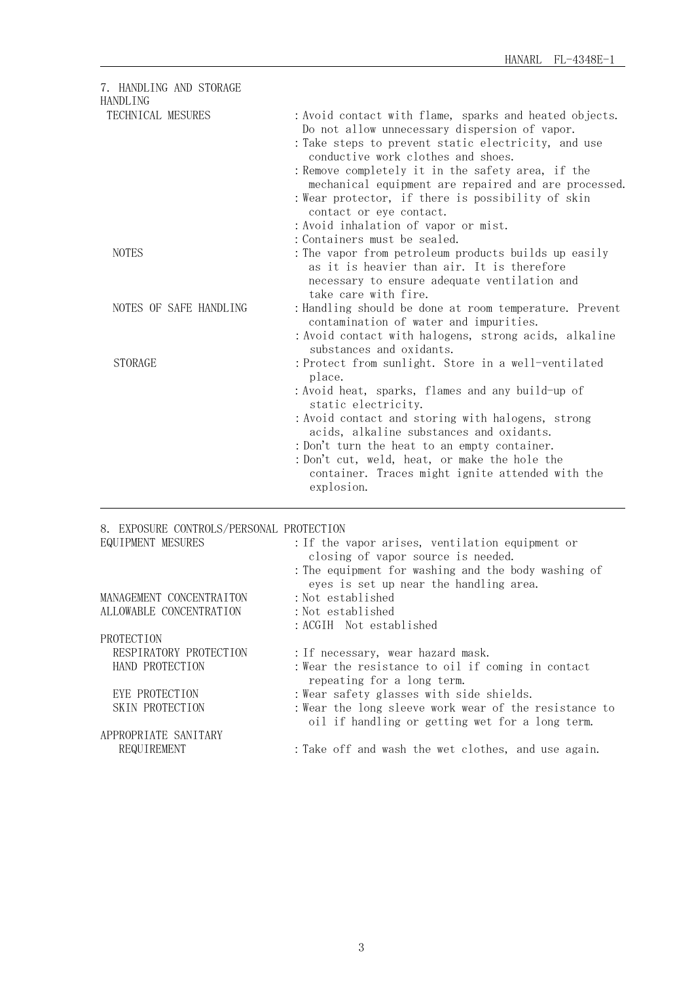| 7. HANDLING AND STORAGE<br><b>HANDLING</b> |                                                                                                                                                                                                                                                                                                                                                                                                                                           |
|--------------------------------------------|-------------------------------------------------------------------------------------------------------------------------------------------------------------------------------------------------------------------------------------------------------------------------------------------------------------------------------------------------------------------------------------------------------------------------------------------|
| TECHNICAL MESURES                          | : Avoid contact with flame, sparks and heated objects.<br>Do not allow unnecessary dispersion of vapor.<br>: Take steps to prevent static electricity, and use<br>conductive work clothes and shoes.<br>: Remove completely it in the safety area, if the<br>mechanical equipment are repaired and are processed.<br>: Wear protector, if there is possibility of skin<br>contact or eye contact.<br>: Avoid inhalation of vapor or mist. |
| <b>NOTES</b>                               | : Containers must be sealed.<br>: The vapor from petroleum products builds up easily<br>as it is heavier than air. It is therefore<br>necessary to ensure adequate ventilation and<br>take care with fire.                                                                                                                                                                                                                                |
| NOTES OF SAFE HANDLING                     | : Handling should be done at room temperature. Prevent<br>contamination of water and impurities.<br>: Avoid contact with halogens, strong acids, alkaline<br>substances and oxidants.                                                                                                                                                                                                                                                     |
| <b>STORAGE</b>                             | : Protect from sunlight. Store in a well-ventilated<br>place.<br>: Avoid heat, sparks, flames and any build-up of<br>static electricity.<br>: Avoid contact and storing with halogens, strong<br>acids, alkaline substances and oxidants.<br>: Don't turn the heat to an empty container.<br>: Don't cut, weld, heat, or make the hole the<br>container. Traces might ignite attended with the<br>explosion.                              |
|                                            |                                                                                                                                                                                                                                                                                                                                                                                                                                           |

## 8. EXPOSURE CONTROLS/PERSONAL PROTECTION

| EQUIPMENT MESURES        | : If the vapor arises, ventilation equipment or<br>closing of vapor source is needed.                    |
|--------------------------|----------------------------------------------------------------------------------------------------------|
|                          | : The equipment for washing and the body washing of<br>eyes is set up near the handling area.            |
| MANAGEMENT CONCENTRAITON | : Not established                                                                                        |
| ALLOWABLE CONCENTRATION  | : Not established                                                                                        |
|                          | : ACGIH Not established                                                                                  |
| PROTECTION               |                                                                                                          |
| RESPIRATORY PROTECTION   | : If necessary, wear hazard mask.                                                                        |
| HAND PROTECTION          | : Wear the resistance to oil if coming in contact<br>repeating for a long term.                          |
| EYE PROTECTION           | :Wear safety glasses with side shields.                                                                  |
| SKIN PROTECTION          | : Wear the long sleeve work wear of the resistance to<br>oil if handling or getting wet for a long term. |
| APPROPRIATE SANITARY     |                                                                                                          |
| REQUIREMENT              | : Take off and wash the wet clothes, and use again.                                                      |
|                          |                                                                                                          |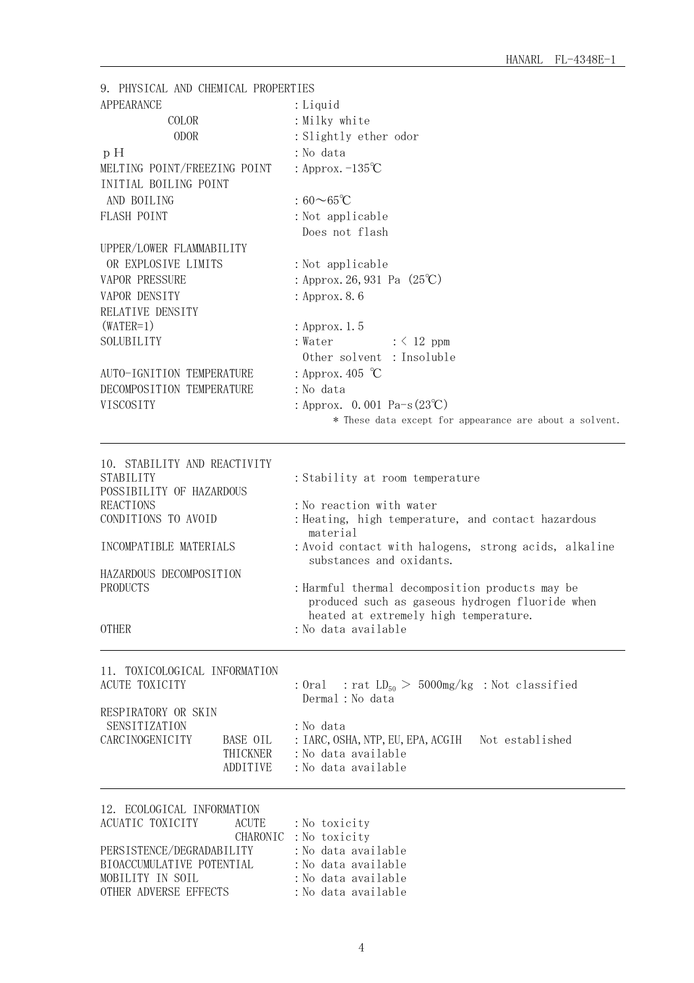| 9. PHYSICAL AND CHEMICAL PROPERTIES                                                                                                                                                                      |                                                                                                                                                                                                                                                                                                                                                                                         |
|----------------------------------------------------------------------------------------------------------------------------------------------------------------------------------------------------------|-----------------------------------------------------------------------------------------------------------------------------------------------------------------------------------------------------------------------------------------------------------------------------------------------------------------------------------------------------------------------------------------|
| <b>APPEARANCE</b>                                                                                                                                                                                        | : Liquid                                                                                                                                                                                                                                                                                                                                                                                |
| COLOR                                                                                                                                                                                                    | : Milky white                                                                                                                                                                                                                                                                                                                                                                           |
| <b>ODOR</b>                                                                                                                                                                                              | : Slightly ether odor                                                                                                                                                                                                                                                                                                                                                                   |
| pH                                                                                                                                                                                                       | : No data                                                                                                                                                                                                                                                                                                                                                                               |
| MELTING POINT/FREEZING POINT                                                                                                                                                                             | : Approx. $-135^{\circ}C$                                                                                                                                                                                                                                                                                                                                                               |
| INITIAL BOILING POINT                                                                                                                                                                                    |                                                                                                                                                                                                                                                                                                                                                                                         |
| AND BOILING                                                                                                                                                                                              | : $60\sim65^{\circ}$ C                                                                                                                                                                                                                                                                                                                                                                  |
| <b>FLASH POINT</b>                                                                                                                                                                                       | : Not applicable                                                                                                                                                                                                                                                                                                                                                                        |
|                                                                                                                                                                                                          | Does not flash                                                                                                                                                                                                                                                                                                                                                                          |
| UPPER/LOWER FLAMMABILITY                                                                                                                                                                                 |                                                                                                                                                                                                                                                                                                                                                                                         |
| OR EXPLOSIVE LIMITS                                                                                                                                                                                      | : Not applicable                                                                                                                                                                                                                                                                                                                                                                        |
| VAPOR PRESSURE                                                                                                                                                                                           | : Approx. 26, 931 Pa (25°C)                                                                                                                                                                                                                                                                                                                                                             |
| VAPOR DENSITY                                                                                                                                                                                            | : Approx. 8.6                                                                                                                                                                                                                                                                                                                                                                           |
| RELATIVE DENSITY                                                                                                                                                                                         |                                                                                                                                                                                                                                                                                                                                                                                         |
| $(WATER=1)$                                                                                                                                                                                              | : Approx. 1.5                                                                                                                                                                                                                                                                                                                                                                           |
| SOLUBILITY                                                                                                                                                                                               | : Water<br>$: \langle 12 \text{ ppm}$                                                                                                                                                                                                                                                                                                                                                   |
|                                                                                                                                                                                                          | Other solvent : Insoluble                                                                                                                                                                                                                                                                                                                                                               |
| AUTO-IGNITION TEMPERATURE                                                                                                                                                                                | : Approx. 405 $\degree$ C                                                                                                                                                                                                                                                                                                                                                               |
| DECOMPOSITION TEMPERATURE                                                                                                                                                                                | : No data                                                                                                                                                                                                                                                                                                                                                                               |
| VISCOSITY                                                                                                                                                                                                | : Approx. 0.001 Pa-s $(23^{\circ}\text{C})$                                                                                                                                                                                                                                                                                                                                             |
|                                                                                                                                                                                                          | * These data except for appearance are about a solvent.                                                                                                                                                                                                                                                                                                                                 |
| 10. STABILITY AND REACTIVITY<br><b>STABILITY</b><br>POSSIBILITY OF HAZARDOUS<br><b>REACTIONS</b><br>CONDITIONS TO AVOID<br>INCOMPATIBLE MATERIALS<br>HAZARDOUS DECOMPOSITION<br>PRODUCTS<br><b>OTHER</b> | : Stability at room temperature<br>: No reaction with water<br>: Heating, high temperature, and contact hazardous<br>material<br>: Avoid contact with halogens, strong acids, alkaline<br>substances and oxidants.<br>: Harmful thermal decomposition products may be<br>produced such as gaseous hydrogen fluoride when<br>heated at extremely high temperature.<br>:No data available |
| 11. TOXICOLOGICAL INFORMATION<br>ACUTE TOXICITY<br>RESPIRATORY OR SKIN<br>SENSITIZATION<br>CARCINOGENICITY<br>BASE OIL<br>THICKNER<br>ADDITIVE                                                           | : Oral : rat $LD_{50} > 5000$ mg/kg : Not classified<br>Dermal : No data<br>:No data<br>: IARC, OSHA, NTP, EU, EPA, ACGIH Not established<br>: No data available<br>:No data available                                                                                                                                                                                                  |
| 12. ECOLOGICAL INFORMATION<br>ACUATIC TOXICITY<br><b>ACUTE</b><br>PERSISTENCE/DEGRADABILITY<br>BIOACCUMULATIVE POTENTIAL<br>MOBILITY IN SOIL<br>OTHER ADVERSE EFFECTS                                    | : No toxicity<br>CHARONIC : No toxicity<br>: No data available<br>: No data available<br>: No data available<br>: No data available                                                                                                                                                                                                                                                     |